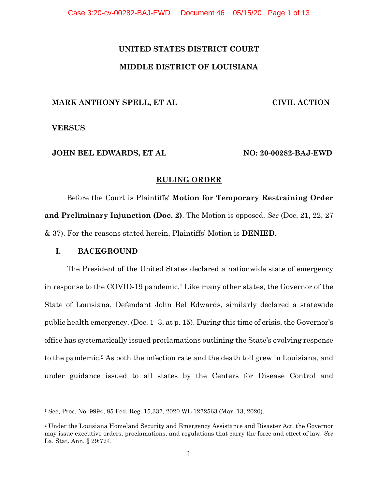# **UNITED STATES DISTRICT COURT MIDDLE DISTRICT OF LOUISIANA**

### **MARK ANTHONY SPELL, ET AL**

 **CIVIL ACTION** 

#### **VERSUS**

# **JOHN BEL EDWARDS, ET AL**

 **NO: 20-00282-BAJ-EWD** 

#### **RULING ORDER**

Before the Court is Plaintiffs' **Motion for Temporary Restraining Order and Preliminary Injunction (Doc. 2)**. The Motion is opposed. *See* (Doc. 21, 22, 27 & 37). For the reasons stated herein, Plaintiffs' Motion is **DENIED**.

# **I. BACKGROUND**

The President of the United States declared a nationwide state of emergency in response to the COVID-19 pandemic.1 Like many other states, the Governor of the State of Louisiana, Defendant John Bel Edwards, similarly declared a statewide public health emergency. (Doc. 1–3, at p. 15). During this time of crisis, the Governor's office has systematically issued proclamations outlining the State's evolving response to the pandemic.2 As both the infection rate and the death toll grew in Louisiana, and under guidance issued to all states by the Centers for Disease Control and

<sup>1</sup> See, Proc. No. 9994, 85 Fed. Reg. 15,337, 2020 WL 1272563 (Mar. 13, 2020).

<sup>2</sup> Under the Louisiana Homeland Security and Emergency Assistance and Disaster Act, the Governor may issue executive orders, proclamations, and regulations that carry the force and effect of law. *See* La. Stat. Ann. § 29:724.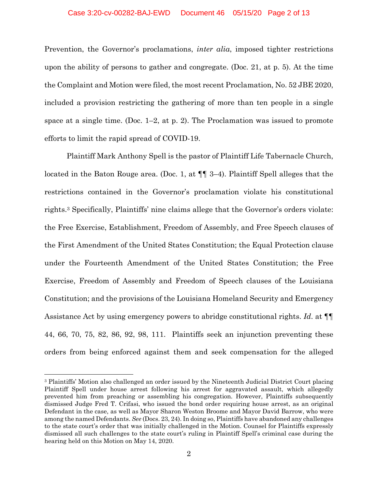Prevention, the Governor's proclamations, *inter alia*, imposed tighter restrictions upon the ability of persons to gather and congregate. (Doc. 21, at p. 5). At the time the Complaint and Motion were filed, the most recent Proclamation, No. 52 JBE 2020, included a provision restricting the gathering of more than ten people in a single space at a single time. (Doc. 1–2, at p. 2). The Proclamation was issued to promote efforts to limit the rapid spread of COVID-19.

Plaintiff Mark Anthony Spell is the pastor of Plaintiff Life Tabernacle Church, located in the Baton Rouge area. (Doc. 1, at ¶¶ 3–4). Plaintiff Spell alleges that the restrictions contained in the Governor's proclamation violate his constitutional rights.3 Specifically, Plaintiffs' nine claims allege that the Governor's orders violate: the Free Exercise, Establishment, Freedom of Assembly, and Free Speech clauses of the First Amendment of the United States Constitution; the Equal Protection clause under the Fourteenth Amendment of the United States Constitution; the Free Exercise, Freedom of Assembly and Freedom of Speech clauses of the Louisiana Constitution; and the provisions of the Louisiana Homeland Security and Emergency Assistance Act by using emergency powers to abridge constitutional rights. *Id*. at ¶¶ 44, 66, 70, 75, 82, 86, 92, 98, 111. Plaintiffs seek an injunction preventing these orders from being enforced against them and seek compensation for the alleged

<sup>3</sup> Plaintiffs' Motion also challenged an order issued by the Nineteenth Judicial District Court placing Plaintiff Spell under house arrest following his arrest for aggravated assault, which allegedly prevented him from preaching or assembling his congregation. However, Plaintiffs subsequently dismissed Judge Fred T. Crifasi, who issued the bond order requiring house arrest, as an original Defendant in the case, as well as Mayor Sharon Weston Broome and Mayor David Barrow, who were among the named Defendants. *See* (Docs. 23, 24). In doing so, Plaintiffs have abandoned any challenges to the state court's order that was initially challenged in the Motion. Counsel for Plaintiffs expressly dismissed all such challenges to the state court's ruling in Plaintiff Spell's criminal case during the hearing held on this Motion on May 14, 2020.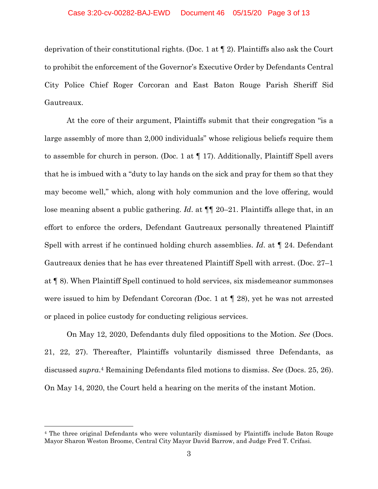deprivation of their constitutional rights. (Doc. 1 at ¶ 2). Plaintiffs also ask the Court to prohibit the enforcement of the Governor's Executive Order by Defendants Central City Police Chief Roger Corcoran and East Baton Rouge Parish Sheriff Sid Gautreaux.

At the core of their argument, Plaintiffs submit that their congregation "is a large assembly of more than 2,000 individuals" whose religious beliefs require them to assemble for church in person. (Doc. 1 at  $\P$  17). Additionally, Plaintiff Spell avers that he is imbued with a "duty to lay hands on the sick and pray for them so that they may become well," which, along with holy communion and the love offering, would lose meaning absent a public gathering. *Id*. at ¶¶ 20–21. Plaintiffs allege that, in an effort to enforce the orders, Defendant Gautreaux personally threatened Plaintiff Spell with arrest if he continued holding church assemblies. *Id*. at ¶ 24. Defendant Gautreaux denies that he has ever threatened Plaintiff Spell with arrest. (Doc. 27–1 at ¶ 8). When Plaintiff Spell continued to hold services, six misdemeanor summonses were issued to him by Defendant Corcoran *(*Doc. 1 at ¶ 28), yet he was not arrested or placed in police custody for conducting religious services.

On May 12, 2020, Defendants duly filed oppositions to the Motion. *See* (Docs. 21, 22, 27). Thereafter, Plaintiffs voluntarily dismissed three Defendants, as discussed *supra*.4 Remaining Defendants filed motions to dismiss. *See* (Docs. 25, 26). On May 14, 2020, the Court held a hearing on the merits of the instant Motion.

<sup>4</sup> The three original Defendants who were voluntarily dismissed by Plaintiffs include Baton Rouge Mayor Sharon Weston Broome, Central City Mayor David Barrow, and Judge Fred T. Crifasi.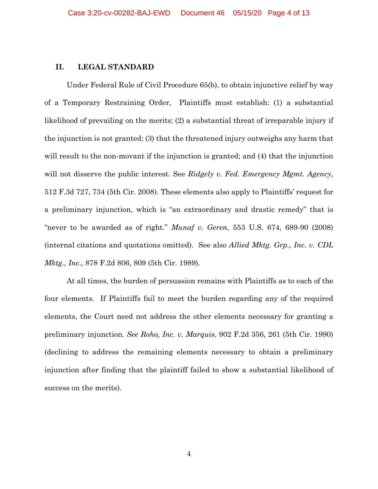#### **II. LEGAL STANDARD**

Under Federal Rule of Civil Procedure 65(b), to obtain injunctive relief by way of a Temporary Restraining Order, Plaintiffs must establish: (1) a substantial likelihood of prevailing on the merits; (2) a substantial threat of irreparable injury if the injunction is not granted; (3) that the threatened injury outweighs any harm that will result to the non-movant if the injunction is granted; and (4) that the injunction will not disserve the public interest. See *Ridgely v. Fed. Emergency Mgmt. Agency*, 512 F.3d 727, 734 (5th Cir. 2008). These elements also apply to Plaintiffs' request for a preliminary injunction, which is "an extraordinary and drastic remedy" that is "never to be awarded as of right." *Munaf v. Geren*, 553 U.S. 674, 689-90 (2008) (internal citations and quotations omitted). See also *Allied Mktg. Grp., Inc. v. CDL Mktg., Inc*., 878 F.2d 806, 809 (5th Cir. 1989).

At all times, the burden of persuasion remains with Plaintiffs as to each of the four elements. If Plaintiffs fail to meet the burden regarding any of the required elements, the Court need not address the other elements necessary for granting a preliminary injunction. *See Roho, Inc. v. Marquis*, 902 F.2d 356, 261 (5th Cir. 1990) (declining to address the remaining elements necessary to obtain a preliminary injunction after finding that the plaintiff failed to show a substantial likelihood of success on the merits).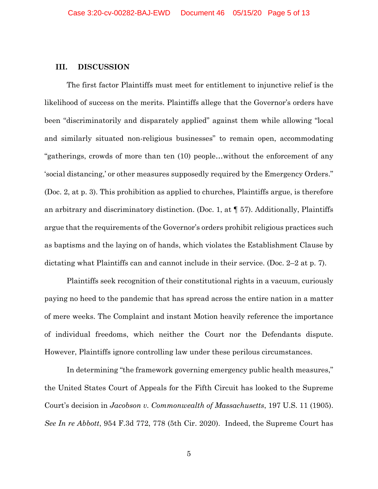#### **III. DISCUSSION**

The first factor Plaintiffs must meet for entitlement to injunctive relief is the likelihood of success on the merits. Plaintiffs allege that the Governor's orders have been "discriminatorily and disparately applied" against them while allowing "local and similarly situated non-religious businesses" to remain open, accommodating "gatherings, crowds of more than ten (10) people…without the enforcement of any 'social distancing,' or other measures supposedly required by the Emergency Orders." (Doc. 2, at p. 3). This prohibition as applied to churches, Plaintiffs argue, is therefore an arbitrary and discriminatory distinction. (Doc. 1, at  $\P$  57). Additionally, Plaintiffs argue that the requirements of the Governor's orders prohibit religious practices such as baptisms and the laying on of hands, which violates the Establishment Clause by dictating what Plaintiffs can and cannot include in their service. (Doc. 2–2 at p. 7).

Plaintiffs seek recognition of their constitutional rights in a vacuum, curiously paying no heed to the pandemic that has spread across the entire nation in a matter of mere weeks. The Complaint and instant Motion heavily reference the importance of individual freedoms, which neither the Court nor the Defendants dispute. However, Plaintiffs ignore controlling law under these perilous circumstances.

In determining "the framework governing emergency public health measures," the United States Court of Appeals for the Fifth Circuit has looked to the Supreme Court's decision in *Jacobson v. Commonwealth of Massachusetts*, 197 U.S. 11 (1905). *See In re Abbott*, 954 F.3d 772, 778 (5th Cir. 2020). Indeed, the Supreme Court has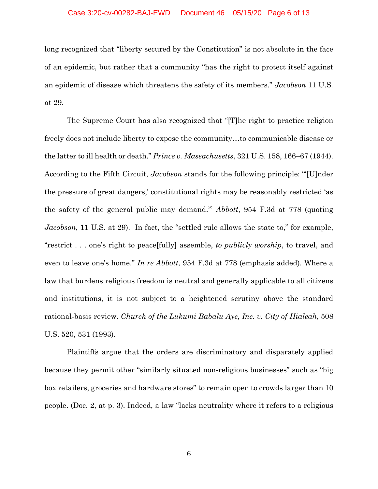#### Case 3:20-cv-00282-BAJ-EWD Document 46 05/15/20 Page 6 of 13

long recognized that "liberty secured by the Constitution" is not absolute in the face of an epidemic, but rather that a community "has the right to protect itself against an epidemic of disease which threatens the safety of its members." *Jacobson* 11 U.S*.*  at 29.

The Supreme Court has also recognized that "[T]he right to practice religion freely does not include liberty to expose the community…to communicable disease or the latter to ill health or death." *Prince v. Massachusetts*, 321 U.S. 158, 166–67 (1944). According to the Fifth Circuit, *Jacobson* stands for the following principle: "'[U]nder the pressure of great dangers,' constitutional rights may be reasonably restricted 'as the safety of the general public may demand.'" *Abbott*, 954 F.3d at 778 (quoting *Jacobson*, 11 U.S. at 29). In fact, the "settled rule allows the state to," for example, "restrict . . . one's right to peace[fully] assemble, *to publicly worship*, to travel, and even to leave one's home." *In re Abbott*, 954 F.3d at 778 (emphasis added). Where a law that burdens religious freedom is neutral and generally applicable to all citizens and institutions, it is not subject to a heightened scrutiny above the standard rational-basis review. *Church of the Lukumi Babalu Aye, Inc. v. City of Hialeah*, 508 U.S. 520, 531 (1993).

Plaintiffs argue that the orders are discriminatory and disparately applied because they permit other "similarly situated non-religious businesses" such as "big box retailers, groceries and hardware stores" to remain open to crowds larger than 10 people. (Doc. 2, at p. 3). Indeed, a law "lacks neutrality where it refers to a religious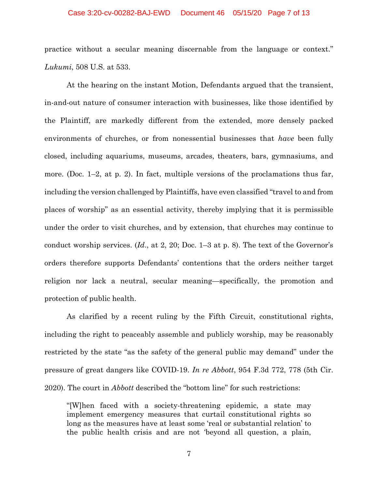#### Case 3:20-cv-00282-BAJ-EWD Document 46 05/15/20 Page 7 of 13

practice without a secular meaning discernable from the language or context." *Lukumi*, 508 U.S. at 533.

At the hearing on the instant Motion, Defendants argued that the transient, in-and-out nature of consumer interaction with businesses, like those identified by the Plaintiff, are markedly different from the extended, more densely packed environments of churches, or from nonessential businesses that *have* been fully closed, including aquariums, museums, arcades, theaters, bars, gymnasiums, and more. (Doc.  $1-2$ , at p. 2). In fact, multiple versions of the proclamations thus far, including the version challenged by Plaintiffs, have even classified "travel to and from places of worship" as an essential activity, thereby implying that it is permissible under the order to visit churches, and by extension, that churches may continue to conduct worship services. (*Id*., at 2, 20; Doc. 1–3 at p. 8). The text of the Governor's orders therefore supports Defendants' contentions that the orders neither target religion nor lack a neutral, secular meaning—specifically, the promotion and protection of public health.

As clarified by a recent ruling by the Fifth Circuit, constitutional rights, including the right to peaceably assemble and publicly worship, may be reasonably restricted by the state "as the safety of the general public may demand" under the pressure of great dangers like COVID-19. *In re Abbott*, 954 F.3d 772, 778 (5th Cir. 2020). The court in *Abbott* described the "bottom line" for such restrictions:

"[W]hen faced with a society-threatening epidemic, a state may implement emergency measures that curtail constitutional rights so long as the measures have at least some 'real or substantial relation' to the public health crisis and are not 'beyond all question, a plain,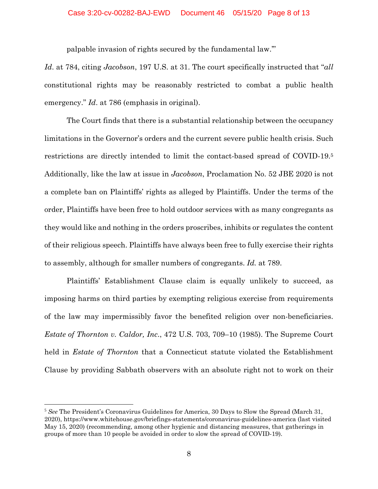palpable invasion of rights secured by the fundamental law.'"

*Id*. at 784, citing *Jacobson*, 197 U.S. at 31. The court specifically instructed that "*all*  constitutional rights may be reasonably restricted to combat a public health emergency." *Id*. at 786 (emphasis in original).

The Court finds that there is a substantial relationship between the occupancy limitations in the Governor's orders and the current severe public health crisis. Such restrictions are directly intended to limit the contact-based spread of COVID-19.5 Additionally, like the law at issue in *Jacobson*, Proclamation No. 52 JBE 2020 is not a complete ban on Plaintiffs' rights as alleged by Plaintiffs. Under the terms of the order, Plaintiffs have been free to hold outdoor services with as many congregants as they would like and nothing in the orders proscribes, inhibits or regulates the content of their religious speech. Plaintiffs have always been free to fully exercise their rights to assembly, although for smaller numbers of congregants. *Id.* at 789.

Plaintiffs' Establishment Clause claim is equally unlikely to succeed, as imposing harms on third parties by exempting religious exercise from requirements of the law may impermissibly favor the benefited religion over non-beneficiaries. *Estate of Thornton v. Caldor, Inc*., 472 U.S. 703, 709–10 (1985). The Supreme Court held in *Estate of Thornton* that a Connecticut statute violated the Establishment Clause by providing Sabbath observers with an absolute right not to work on their

<sup>5</sup> *See* The President's Coronavirus Guidelines for America, 30 Days to Slow the Spread (March 31, 2020), https://www.whitehouse.gov/briefings-statements/coronavirus-guidelines-america (last visited May 15, 2020) (recommending, among other hygienic and distancing measures, that gatherings in groups of more than 10 people be avoided in order to slow the spread of COVID-19).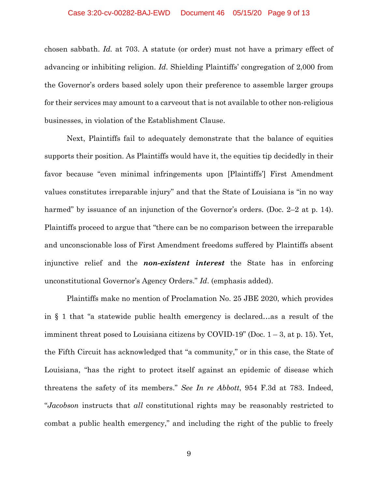chosen sabbath. *Id.* at 703. A statute (or order) must not have a primary effect of advancing or inhibiting religion. *Id*. Shielding Plaintiffs' congregation of 2,000 from the Governor's orders based solely upon their preference to assemble larger groups for their services may amount to a carveout that is not available to other non-religious businesses, in violation of the Establishment Clause.

Next, Plaintiffs fail to adequately demonstrate that the balance of equities supports their position. As Plaintiffs would have it, the equities tip decidedly in their favor because "even minimal infringements upon [Plaintiffs'] First Amendment values constitutes irreparable injury" and that the State of Louisiana is "in no way harmed" by issuance of an injunction of the Governor's orders. (Doc. 2–2 at p. 14). Plaintiffs proceed to argue that "there can be no comparison between the irreparable and unconscionable loss of First Amendment freedoms suffered by Plaintiffs absent injunctive relief and the *non-existent interest* the State has in enforcing unconstitutional Governor's Agency Orders." *Id*. (emphasis added).

Plaintiffs make no mention of Proclamation No. 25 JBE 2020, which provides in § 1 that "a statewide public health emergency is declared…as a result of the imminent threat posed to Louisiana citizens by COVID-19" (Doc.  $1-3$ , at p. 15). Yet, the Fifth Circuit has acknowledged that "a community," or in this case, the State of Louisiana, "has the right to protect itself against an epidemic of disease which threatens the safety of its members." *See In re Abbott*, 954 F.3d at 783. Indeed, "*Jacobson* instructs that *all* constitutional rights may be reasonably restricted to combat a public health emergency," and including the right of the public to freely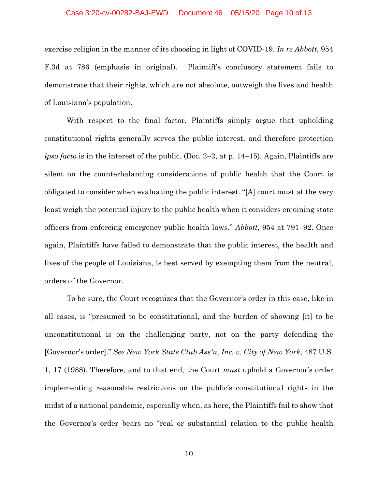exercise religion in the manner of its choosing in light of COVID-19. *In re Abbott*, 954 F.3d at 786 (emphasis in original). Plaintiff's conclusory statement fails to demonstrate that their rights, which are not absolute, outweigh the lives and health of Louisiana's population.

With respect to the final factor, Plaintiffs simply argue that upholding constitutional rights generally serves the public interest, and therefore protection *ipso facto* is in the interest of the public. (Doc. 2–2, at p. 14–15). Again, Plaintiffs are silent on the counterbalancing considerations of public health that the Court is obligated to consider when evaluating the public interest. "[A] court must at the very least weigh the potential injury to the public health when it considers enjoining state officers from enforcing emergency public health laws." *Abbott*, 954 at 791–92. Once again, Plaintiffs have failed to demonstrate that the public interest, the health and lives of the people of Louisiana, is best served by exempting them from the neutral, orders of the Governor.

To be sure, the Court recognizes that the Governor's order in this case, like in all cases, is "presumed to be constitutional, and the burden of showing [it] to be unconstitutional is on the challenging party, not on the party defending the [Governor's order]." *See New York State Club Ass'n, Inc. v. City of New York*, 487 U.S. 1, 17 (1988). Therefore, and to that end, the Court *must* uphold a Governor's order implementing reasonable restrictions on the public's constitutional rights in the midst of a national pandemic, especially when, as here, the Plaintiffs fail to show that the Governor's order bears no "real or substantial relation to the public health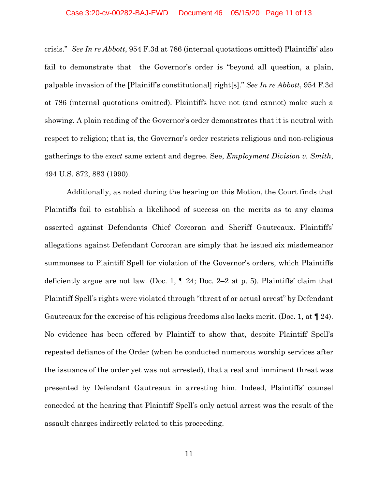crisis." *See In re Abbott*, 954 F.3d at 786 (internal quotations omitted) Plaintiffs' also fail to demonstrate that the Governor's order is "beyond all question, a plain, palpable invasion of the [Plainiff's constitutional] right[s]." *See In re Abbott*, 954 F.3d at 786 (internal quotations omitted). Plaintiffs have not (and cannot) make such a showing. A plain reading of the Governor's order demonstrates that it is neutral with respect to religion; that is, the Governor's order restricts religious and non-religious gatherings to the *exact* same extent and degree. See, *Employment Division v. Smith*, 494 U.S. 872, 883 (1990).

Additionally, as noted during the hearing on this Motion, the Court finds that Plaintiffs fail to establish a likelihood of success on the merits as to any claims asserted against Defendants Chief Corcoran and Sheriff Gautreaux. Plaintiffs' allegations against Defendant Corcoran are simply that he issued six misdemeanor summonses to Plaintiff Spell for violation of the Governor's orders, which Plaintiffs deficiently argue are not law. (Doc. 1,  $\P$  24; Doc. 2–2 at p. 5). Plaintiffs' claim that Plaintiff Spell's rights were violated through "threat of or actual arrest" by Defendant Gautreaux for the exercise of his religious freedoms also lacks merit. (Doc. 1, at ¶ 24). No evidence has been offered by Plaintiff to show that, despite Plaintiff Spell's repeated defiance of the Order (when he conducted numerous worship services after the issuance of the order yet was not arrested), that a real and imminent threat was presented by Defendant Gautreaux in arresting him. Indeed, Plaintiffs' counsel conceded at the hearing that Plaintiff Spell's only actual arrest was the result of the assault charges indirectly related to this proceeding.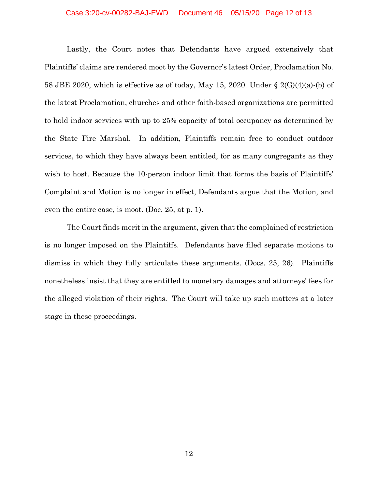#### Case 3:20-cv-00282-BAJ-EWD Document 46 05/15/20 Page 12 of 13

Lastly, the Court notes that Defendants have argued extensively that Plaintiffs' claims are rendered moot by the Governor's latest Order, Proclamation No. 58 JBE 2020, which is effective as of today, May 15, 2020. Under  $\S 2(G)(4)(a)$ -(b) of the latest Proclamation, churches and other faith-based organizations are permitted to hold indoor services with up to 25% capacity of total occupancy as determined by the State Fire Marshal. In addition, Plaintiffs remain free to conduct outdoor services, to which they have always been entitled, for as many congregants as they wish to host. Because the 10-person indoor limit that forms the basis of Plaintiffs' Complaint and Motion is no longer in effect, Defendants argue that the Motion, and even the entire case, is moot. (Doc. 25, at p. 1).

The Court finds merit in the argument, given that the complained of restriction is no longer imposed on the Plaintiffs. Defendants have filed separate motions to dismiss in which they fully articulate these arguments. (Docs. 25, 26). Plaintiffs nonetheless insist that they are entitled to monetary damages and attorneys' fees for the alleged violation of their rights. The Court will take up such matters at a later stage in these proceedings.